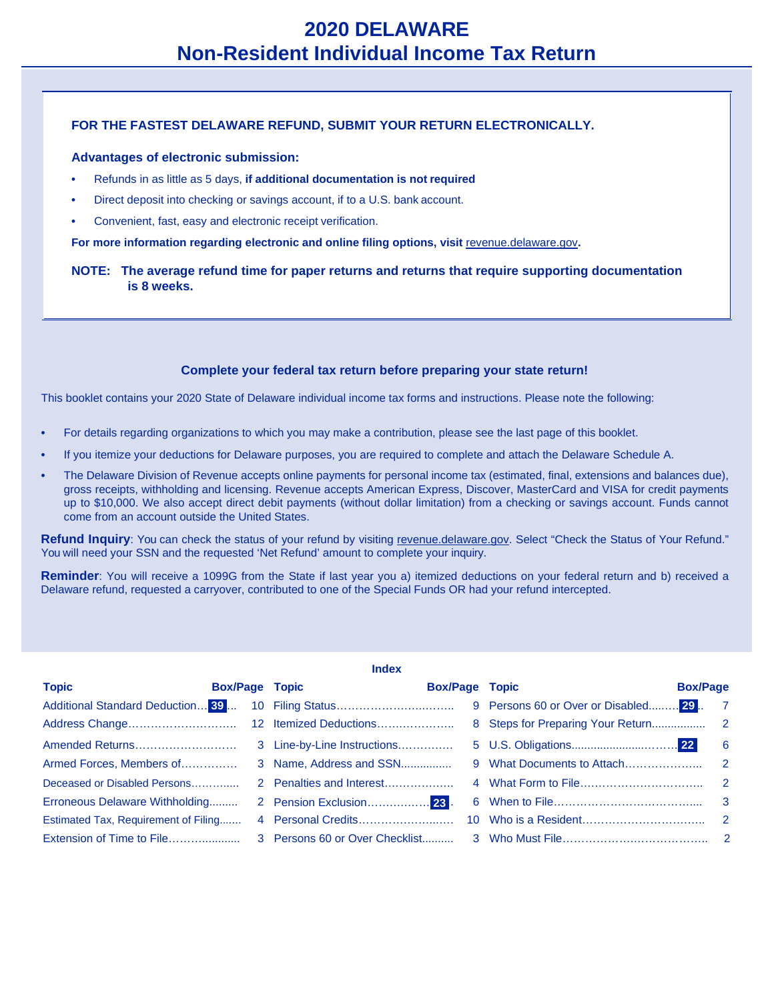## **FOR THE FASTEST DELAWARE REFUND, SUBMIT YOUR RETURN ELECTRONICALLY.**

### **Advantages of electronic submission:**

- **•** Refunds in as little as 5 days, **if additional documentation is not required**
- **•** Direct deposit into checking or savings account, if to a U.S. bank account.
- **•** Convenient, fast, easy and electronic receipt verification.

For more information regarding electronic and online filing options, visit [revenue.delaware.gov](http://www.revenue.delaware.gov/).

**NOTE: The average refund time for paper returns and returns that require supporting documentation is 8 weeks.**

## **Complete your federal tax return before preparing your state return!**

This booklet contains your 2020 State of Delaware individual income tax forms and instructions. Please note the following:

- **•** For details regarding organizations to which you may make a contribution, please see the last page of this booklet.
- **•** If you itemize your deductions for Delaware purposes, you are required to complete and attach the Delaware Schedule A.
- **•** The Delaware Division of Revenue accepts online payments for personal income tax (estimated, final, extensions and balances due), gross receipts, withholding and licensing. Revenue accepts American Express, Discover, MasterCard and VISA for credit payments up to \$10,000. We also accept direct debit payments (without dollar limitation) from a checking or savings account. Funds cannot come from an account outside the United States.

Refund Inquiry: You can check the status of your refund by visiting [revenue.delaware.gov. S](http://www.revenue.delaware.gov/)elect "Check the Status of Your Refund." You will need your SSN and the requested 'Net Refund' amount to complete your inquiry.

**Reminder**: You will receive a 1099G from the State if last year you a) itemized deductions on your federal return and b) received a Delaware refund, requested a carryover, contributed to one of the Special Funds OR had your refund intercepted.

|                                      |                       |                                       | <b>Index</b>          |                                        |                            |  |
|--------------------------------------|-----------------------|---------------------------------------|-----------------------|----------------------------------------|----------------------------|--|
| <b>Topic</b>                         | <b>Box/Page Topic</b> |                                       | <b>Box/Page Topic</b> |                                        | <b>Box/Page</b>            |  |
| Additional Standard Deduction 39     |                       |                                       |                       | 9 Persons 60 or Over or Disabled 29. 7 |                            |  |
|                                      |                       |                                       |                       |                                        |                            |  |
|                                      |                       |                                       |                       |                                        | $\overline{\phantom{0}}$ 6 |  |
| Armed Forces, Members of             |                       | 3 Name, Address and SSN               |                       |                                        |                            |  |
| Deceased or Disabled Persons         |                       |                                       |                       |                                        |                            |  |
| Erroneous Delaware Withholding       |                       | 2 Pension Exclusion <mark>23</mark> . |                       |                                        |                            |  |
| Estimated Tax, Requirement of Filing |                       |                                       |                       |                                        |                            |  |
| Extension of Time to File            |                       |                                       |                       |                                        |                            |  |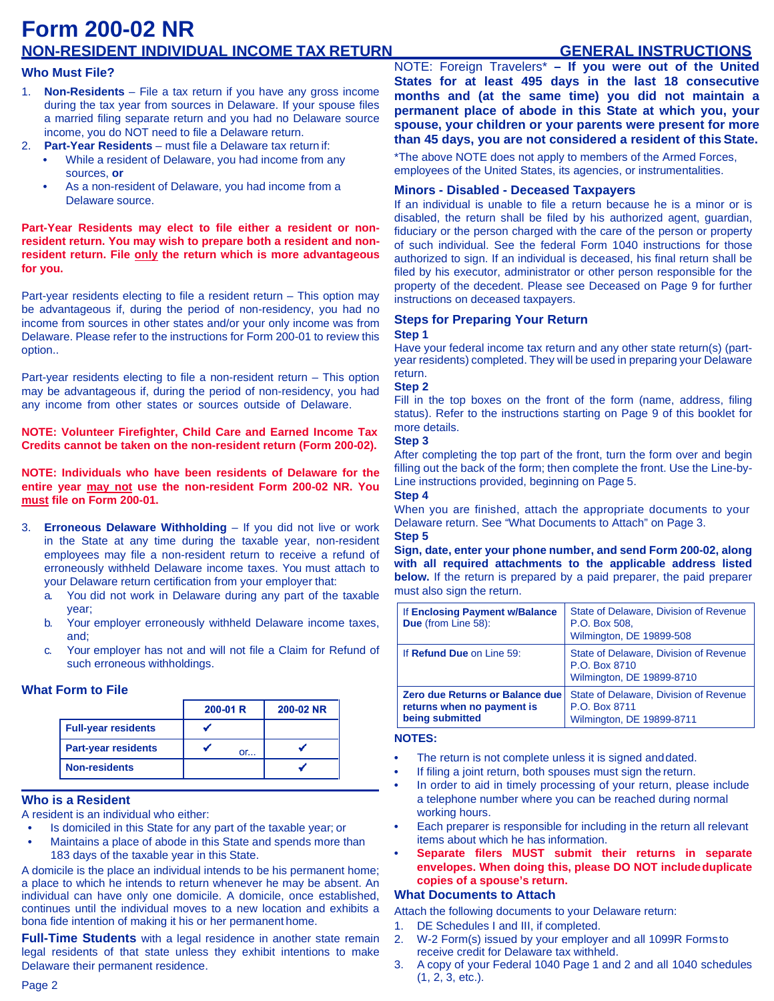# **Form 200-02 NR NON-RESIDENT INDIVIDUAL INCOME TAX RETURN GENERAL INSTRUCTIONS**

## **Who Must File?**

- 1. **Non-Residents**  File a tax return if you have any gross income during the tax year from sources in Delaware. If your spouse files a married filing separate return and you had no Delaware source income, you do NOT need to file a Delaware return.
- 2. **Part-Year Residents**  must file a Delaware tax return if:
	- **•** While a resident of Delaware, you had income from any sources, **or**
	- **•** As a non-resident of Delaware, you had income from a Delaware source.

**Part-Year Residents may elect to file either a resident or nonresident return. You may wish to prepare both a resident and nonresident return. File only the return which is more advantageous for you.**

Part-year residents electing to file a resident return – This option may be advantageous if, during the period of non-residency, you had no income from sources in other states and/or your only income was from Delaware. Please refer to the instructions for Form 200-01 to review this option..

Part-year residents electing to file a non-resident return – This option may be advantageous if, during the period of non-residency, you had any income from other states or sources outside of Delaware.

**NOTE: Volunteer Firefighter, Child Care and Earned Income Tax Credits cannot be taken on the non-resident return (Form 200-02).**

**NOTE: Individuals who have been residents of Delaware for the entire year may not use the non-resident Form 200-02 NR. You must file on Form 200-01.**

- 3. **Erroneous Delaware Withholding** If you did not live or work in the State at any time during the taxable year, non-resident employees may file a non-resident return to receive a refund of erroneously withheld Delaware income taxes. You must attach to your Delaware return certification from your employer that:
	- a. You did not work in Delaware during any part of the taxable year;
	- b. Your employer erroneously withheld Delaware income taxes, and;
	- c. Your employer has not and will not file a Claim for Refund of such erroneous withholdings.

## **What Form to File**

|                            | $200-01 R$ | 200-02 NR |
|----------------------------|------------|-----------|
| <b>Full-year residents</b> |            |           |
| <b>Part-year residents</b> | or         |           |
| <b>Non-residents</b>       |            |           |

## **Who is a Resident**

A resident is an individual who either:

- **•** Is domiciled in this State for any part of the taxable year; or
- **•** Maintains a place of abode in this State and spends more than 183 days of the taxable year in this State.

A domicile is the place an individual intends to be his permanent home; a place to which he intends to return whenever he may be absent. An individual can have only one domicile. A domicile, once established, continues until the individual moves to a new location and exhibits a bona fide intention of making it his or her permanent home.

**Full-Time Students** with a legal residence in another state remain legal residents of that state unless they exhibit intentions to make Delaware their permanent residence.

NOTE: Foreign Travelers\* **– If you were out of the United States for at least 495 days in the last 18 consecutive months and (at the same time) you did not maintain a permanent place of abode in this State at which you, your spouse, your children or your parents were present for more than 45 days, you are not considered a resident of this State.**

\*The above NOTE does not apply to members of the Armed Forces, employees of the United States, its agencies, or instrumentalities.

## **Minors - Disabled - Deceased Taxpayers**

If an individual is unable to file a return because he is a minor or is disabled, the return shall be filed by his authorized agent, guardian, fiduciary or the person charged with the care of the person or property of such individual. See the federal Form 1040 instructions for those authorized to sign. If an individual is deceased, his final return shall be filed by his executor, administrator or other person responsible for the property of the decedent. Please see Deceased on Page 9 for further instructions on deceased taxpayers.

### **Steps for Preparing Your Return Step 1**

Have your federal income tax return and any other state return(s) (partyear residents) completed. They will be used in preparing your Delaware return.

### **Step 2**

Fill in the top boxes on the front of the form (name, address, filing status). Refer to the instructions starting on Page 9 of this booklet for more details.

### **Step 3**

After completing the top part of the front, turn the form over and begin filling out the back of the form; then complete the front. Use the Line-by-Line instructions provided, beginning on Page 5.

#### **Step 4**

When you are finished, attach the appropriate documents to your Delaware return. See "What Documents to Attach" on Page 3. **Step 5**

**Sign, date, enter your phone number, and send Form 200-02, along with all required attachments to the applicable address listed below.** If the return is prepared by a paid preparer, the paid preparer must also sign the return.

| If Enclosing Payment w/Balance<br><b>Due</b> (from Line 58):                            | State of Delaware, Division of Revenue<br>P.O. Box 508.<br>Wilmington, DE 19899-508  |
|-----------------------------------------------------------------------------------------|--------------------------------------------------------------------------------------|
| If Refund Due on Line 59:                                                               | State of Delaware, Division of Revenue<br>P.O. Box 8710<br>Wilmington, DE 19899-8710 |
| <b>Zero due Returns or Balance due</b><br>returns when no payment is<br>being submitted | State of Delaware, Division of Revenue<br>P.O. Box 8711<br>Wilmington, DE 19899-8711 |

### **NOTES:**

- **•** The return is not complete unless it is signed anddated.
- **•** If filing a joint return, both spouses must sign the return.
- **•** In order to aid in timely processing of your return, please include a telephone number where you can be reached during normal working hours.
- **•** Each preparer is responsible for including in the return all relevant items about which he has information.
- **• Separate filers MUST submit their returns in separate envelopes. When doing this, please DO NOT includeduplicate copies of a spouse's return.**

### **What Documents to Attach**

Attach the following documents to your Delaware return:

- 1. DE Schedules I and III, if completed.
- 2. W-2 Form(s) issued by your employer and all 1099R Forms to receive credit for Delaware tax withheld.
- 3. A copy of your Federal 1040 Page 1 and 2 and all 1040 schedules (1, 2, 3, etc.).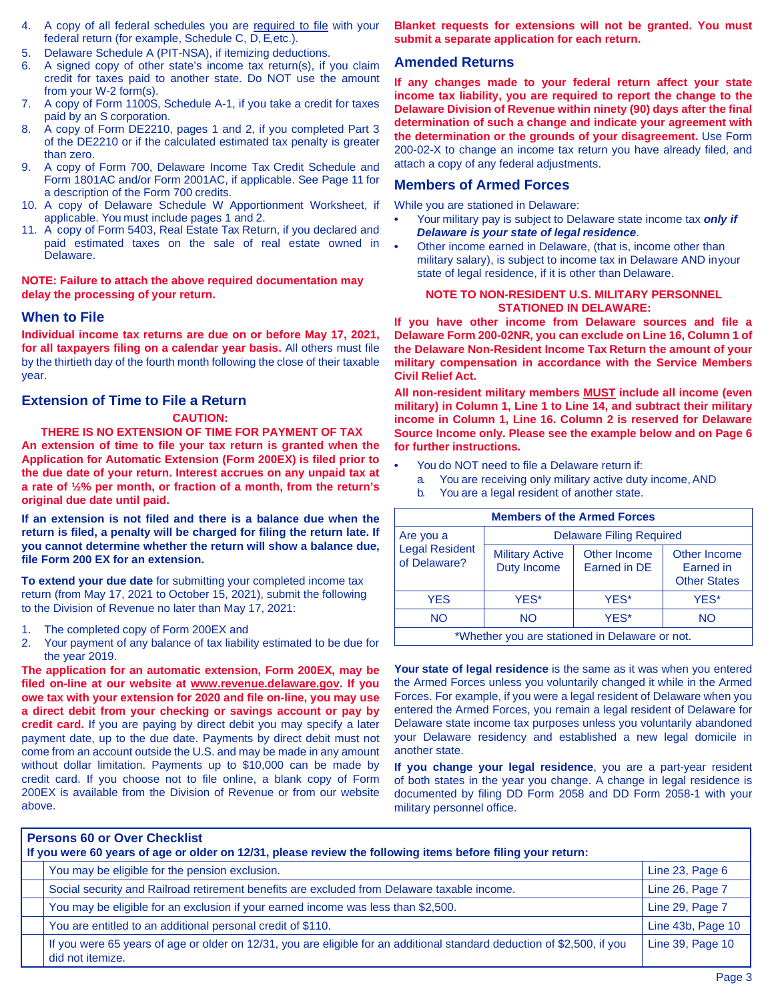- 4. A copy of all federal schedules you are required to file with your federal return (for example, Schedule C, D, E, etc.).
- 5. Delaware Schedule A (PIT-NSA), if itemizing deductions.
- 6. A signed copy of other state's income tax return(s), if you claim credit for taxes paid to another state. Do NOT use the amount from your W-2 form(s).
- 7. A copy of Form 1100S, Schedule A-1, if you take a credit for taxes paid by an S corporation.
- 8. A copy of Form DE2210, pages 1 and 2, if you completed Part 3 of the DE2210 or if the calculated estimated tax penalty is greater than zero.
- 9. A copy of Form 700, Delaware Income Tax Credit Schedule and Form 1801AC and/or Form 2001AC, if applicable. See Page 11 for a description of the Form 700 credits.
- 10. A copy of Delaware Schedule W Apportionment Worksheet, if applicable. You must include pages 1 and 2.
- 11. A copy of Form 5403, Real Estate Tax Return, if you declared and paid estimated taxes on the sale of real estate owned in Delaware.

**NOTE: Failure to attach the above required documentation may delay the processing of your return.**

## **When to File**

**Individual income tax returns are due on or before May 17, 2021, for all taxpayers filing on a calendar year basis.** All others must file by the thirtieth day of the fourth month following the close of their taxable year.

## **Extension of Time to File a Return**

### **CAUTION:**

### **THERE IS NO EXTENSION OF TIME FOR PAYMENT OF TAX**

**An extension of time to file your tax return is granted when the Application for Automatic Extension (Form 200EX) is filed prior to the due date of your return. Interest accrues on any unpaid tax at a rate of ½% per month, or fraction of a month, from the return's original due date until paid.**

**If an extension is not filed and there is a balance due when the return is filed, a penalty will be charged for filing the return late. If you cannot determine whether the return will show a balance due, file Form 200 EX for an extension.**

**To extend your due date** for submitting your completed income tax return (from May 17, 2021 to October 15, 2021), submit the following to the Division of Revenue no later than May 17, 2021:

- 1. The completed copy of Form 200EX and
- 2. Your payment of any balance of tax liability estimated to be due for the year 2019.

**The application for an automatic extension, Form 200EX, may be filed on-line at our website at [www.revenue.delaware.gov.](http://www.revenue.delaware.gov/) If you owe tax with your extension for 2020 and file on-line, you may use a direct debit from your checking or savings account or pay by credit card.** If you are paying by direct debit you may specify a later payment date, up to the due date. Payments by direct debit must not come from an account outside the U.S. and may be made in any amount without dollar limitation. Payments up to \$10,000 can be made by credit card. If you choose not to file online, a blank copy of Form 200EX is available from the Division of Revenue or from our website above.

**Blanket requests for extensions will not be granted. You must submit a separate application for each return.**

## **Amended Returns**

**If any changes made to your federal return affect your state income tax liability, you are required to report the change to the Delaware Division of Revenue within ninety (90) days after the final determination of such a change and indicate your agreement with the determination or the grounds of your disagreement.** Use Form 200-02-X to change an income tax return you have already filed, and attach a copy of any federal adjustments.

## **Members of Armed Forces**

While you are stationed in Delaware:

- **•** Your military pay is subject to Delaware state income tax *only if Delaware is your state of legal residence*.
- **•** Other income earned in Delaware, (that is, income other than military salary), is subject to income tax in Delaware AND inyour state of legal residence, if it is other than Delaware.

### **NOTE TO NON-RESIDENT U.S. MILITARY PERSONNEL STATIONED IN DELAWARE:**

**If you have other income from Delaware sources and file a Delaware Form 200-02NR, you can exclude on Line 16, Column 1 of the Delaware Non-Resident Income Tax Return the amount of your military compensation in accordance with the Service Members Civil Relief Act.**

**All non-resident military members MUST include all income (even military) in Column 1, Line 1 to Line 14, and subtract their military income in Column 1, Line 16. Column 2 is reserved for Delaware Source Income only. Please see the example below and on Page 6 for further instructions.**

- **•** You do NOT need to file a Delaware return if:
	- a. You are receiving only military active duty income,AND
	- b. You are a legal resident of another state.

| <b>Members of the Armed Forces</b>                 |                                       |                              |                                                  |  |  |
|----------------------------------------------------|---------------------------------------|------------------------------|--------------------------------------------------|--|--|
| Are you a<br><b>Legal Resident</b><br>of Delaware? | <b>Delaware Filing Required</b>       |                              |                                                  |  |  |
|                                                    | <b>Military Active</b><br>Duty Income | Other Income<br>Earned in DE | Other Income<br>Earned in<br><b>Other States</b> |  |  |
| <b>YES</b>                                         | YES*                                  | YES*                         | YFS*                                             |  |  |
| <b>NO</b>                                          | <b>NO</b>                             | YES*                         | NΟ                                               |  |  |
| *Whether you are stationed in Delaware or not.     |                                       |                              |                                                  |  |  |

**Your state of legal residence** is the same as it was when you entered the Armed Forces unless you voluntarily changed it while in the Armed Forces. For example, if you were a legal resident of Delaware when you entered the Armed Forces, you remain a legal resident of Delaware for Delaware state income tax purposes unless you voluntarily abandoned your Delaware residency and established a new legal domicile in another state.

**If you change your legal residence**, you are a part-year resident of both states in the year you change. A change in legal residence is documented by filing DD Form 2058 and DD Form 2058-1 with your military personnel office.

| <b>Persons 60 or Over Checklist</b><br>If you were 60 years of age or older on 12/31, please review the following items before filing your return: |                                                                                                                                             |                   |
|----------------------------------------------------------------------------------------------------------------------------------------------------|---------------------------------------------------------------------------------------------------------------------------------------------|-------------------|
|                                                                                                                                                    | You may be eligible for the pension exclusion.                                                                                              | Line 23, Page 6   |
|                                                                                                                                                    | Social security and Railroad retirement benefits are excluded from Delaware taxable income.                                                 | Line 26, Page 7   |
|                                                                                                                                                    | You may be eligible for an exclusion if your earned income was less than \$2,500.                                                           | Line 29, Page 7   |
|                                                                                                                                                    | You are entitled to an additional personal credit of \$110.                                                                                 | Line 43b, Page 10 |
|                                                                                                                                                    | If you were 65 years of age or older on 12/31, you are eligible for an additional standard deduction of \$2,500, if you<br>did not itemize. | Line 39, Page 10  |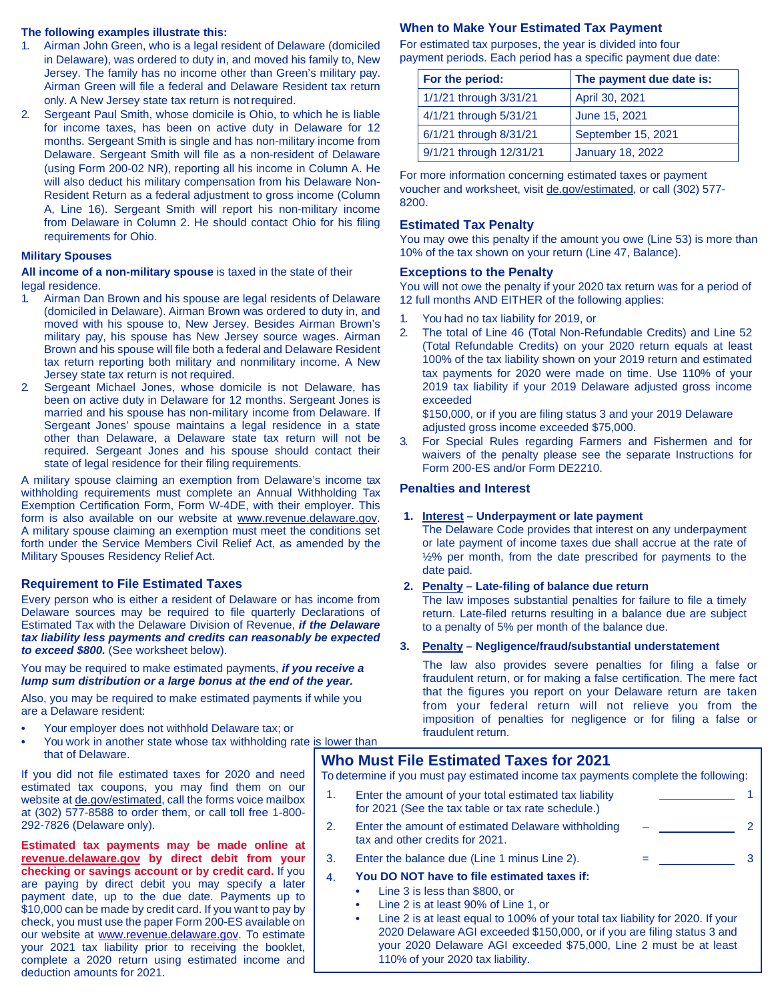### **The following examples illustrate this:**

- 1. Airman John Green, who is a legal resident of Delaware (domiciled in Delaware), was ordered to duty in, and moved his family to, New Jersey. The family has no income other than Green's military pay. Airman Green will file a federal and Delaware Resident tax return only. A New Jersey state tax return is notrequired.
- 2. Sergeant Paul Smith, whose domicile is Ohio, to which he is liable for income taxes, has been on active duty in Delaware for 12 months. Sergeant Smith is single and has non-military income from Delaware. Sergeant Smith will file as a non-resident of Delaware (using Form 200-02 NR), reporting all his income in Column A. He will also deduct his military compensation from his Delaware Non-Resident Return as a federal adjustment to gross income (Column A, Line 16). Sergeant Smith will report his non-military income from Delaware in Column 2. He should contact Ohio for his filing requirements for Ohio.

### **Military Spouses**

**All income of a non-military spouse** is taxed in the state of their legal residence.

- 1. Airman Dan Brown and his spouse are legal residents of Delaware (domiciled in Delaware). Airman Brown was ordered to duty in, and moved with his spouse to, New Jersey. Besides Airman Brown's military pay, his spouse has New Jersey source wages. Airman Brown and his spouse will file both a federal and Delaware Resident tax return reporting both military and nonmilitary income. A New Jersey state tax return is not required.
- 2. Sergeant Michael Jones, whose domicile is not Delaware, has been on active duty in Delaware for 12 months. Sergeant Jones is married and his spouse has non-military income from Delaware. If Sergeant Jones' spouse maintains a legal residence in a state other than Delaware, a Delaware state tax return will not be required. Sergeant Jones and his spouse should contact their state of legal residence for their filing requirements.

A military spouse claiming an exemption from Delaware's income tax withholding requirements must complete an Annual Withholding Tax Exemption Certification Form, Form W-4DE, with their employer. This form is also available on our website at [www.revenue.delaware.gov.](http://www.revenue.delaware.gov/)  A military spouse claiming an exemption must meet the conditions set forth under the Service Members Civil Relief Act, as amended by the Military Spouses Residency Relief Act.

### **Requirement to File Estimated Taxes**

Every person who is either a resident of Delaware or has income from Delaware sources may be required to file quarterly Declarations of Estimated Tax with the Delaware Division of Revenue, *if the Delaware tax liability less payments and credits can reasonably be expected to exceed \$800.* (See worksheet below).

You may be required to make estimated payments, *if you receive a lump sum distribution or a large bonus at the end of the year.*

Also, you may be required to make estimated payments if while you are a Delaware resident:

- **•** Your employer does not withhold Delaware tax; or
- **•** You work in another state whose tax withholding rate is lower than that of Delaware.

If you did not file estimated taxes for 2020 and need estimated tax coupons, you may find them on our website at de.gov/estimated, call the forms voice mailbox at (302) 577-8588 to order them, or call toll free 1-800- 292-7826 (Delaware only).

**Estimated tax payments may be made online at revenue.delaware.gov by direct debit from your checking or savings account or by credit card.** If you are paying by direct debit you may specify a later payment date, up to the due date. Payments up to \$10,000 can be made by credit card. If you want to pay by check, you must use the paper Form 200-ES available on our website at www.revenue.delaware.gov. To estimate your 2021 tax liability prior to receiving the booklet, complete a 2020 return using estimated income and deduction amounts for 2021.

## **When to Make Your Estimated Tax Payment**

For estimated tax purposes, the year is divided into four payment periods. Each period has a specific payment due date:

| For the period:         | The payment due date is: |  |
|-------------------------|--------------------------|--|
| 1/1/21 through 3/31/21  | April 30, 2021           |  |
| 4/1/21 through 5/31/21  | June 15, 2021            |  |
| 6/1/21 through 8/31/21  | September 15, 2021       |  |
| 9/1/21 through 12/31/21 | <b>January 18, 2022</b>  |  |

For more information concerning estimated taxes or payment voucher and worksheet, visit de.gov/estimated, or call (302) 577- 8200.

## **Estimated Tax Penalty**

You may owe this penalty if the amount you owe (Line 53) is more than 10% of the tax shown on your return (Line 47, Balance).

## **Exceptions to the Penalty**

You will not owe the penalty if your 2020 tax return was for a period of 12 full months AND EITHER of the following applies:

- 1. You had no tax liability for 2019, or
- 2. The total of Line 46 (Total Non-Refundable Credits) and Line 52 (Total Refundable Credits) on your 2020 return equals at least 100% of the tax liability shown on your 2019 return and estimated tax payments for 2020 were made on time. Use 110% of your 2019 tax liability if your 2019 Delaware adjusted gross income exceeded

\$150,000, or if you are filing status 3 and your 2019 Delaware adjusted gross income exceeded \$75,000.

3. For Special Rules regarding Farmers and Fishermen and for waivers of the penalty please see the separate Instructions for Form 200-ES and/or Form DE2210.

## **Penalties and Interest**

### **1. Interest – Underpayment or late payment**

The Delaware Code provides that interest on any underpayment or late payment of income taxes due shall accrue at the rate of ½% per month, from the date prescribed for payments to the date paid.

## **2. Penalty – Late-filing of balance due return**

The law imposes substantial penalties for failure to file a timely return. Late-filed returns resulting in a balance due are subject to a penalty of 5% per month of the balance due.

### **3. Penalty – Negligence/fraud/substantial understatement**

The law also provides severe penalties for filing a false or fraudulent return, or for making a false certification. The mere fact that the figures you report on your Delaware return are taken from your federal return will not relieve you from the imposition of penalties for negligence or for filing a false or fraudulent return.

= 3

## **Who Must File Estimated Taxes for 2021**

To determine if you must pay estimated income tax payments complete the following:

- Enter the amount of your total estimated tax liability **1** 1 for 2021 (See the tax table or tax rate schedule.) 1.
- 2. Enter the amount of estimated Delaware withholding \_\_\_\_\_\_\_\_\_\_\_\_\_\_\_\_\_ 2 tax and other credits for 2021.
- Enter the balance due (Line 1 minus Line 2). 3.

#### **You DO NOT have to file estimated taxes if:** 4.

- **•** Line 3 is less than \$800, or
- **•** Line 2 is at least 90% of Line 1, or
- **•** Line 2 is at least equal to 100% of your total tax liability for 2020. If your 2020 Delaware AGI exceeded \$150,000, or if you are filing status 3 and your 2020 Delaware AGI exceeded \$75,000, Line 2 must be at least 110% of your 2020 tax liability.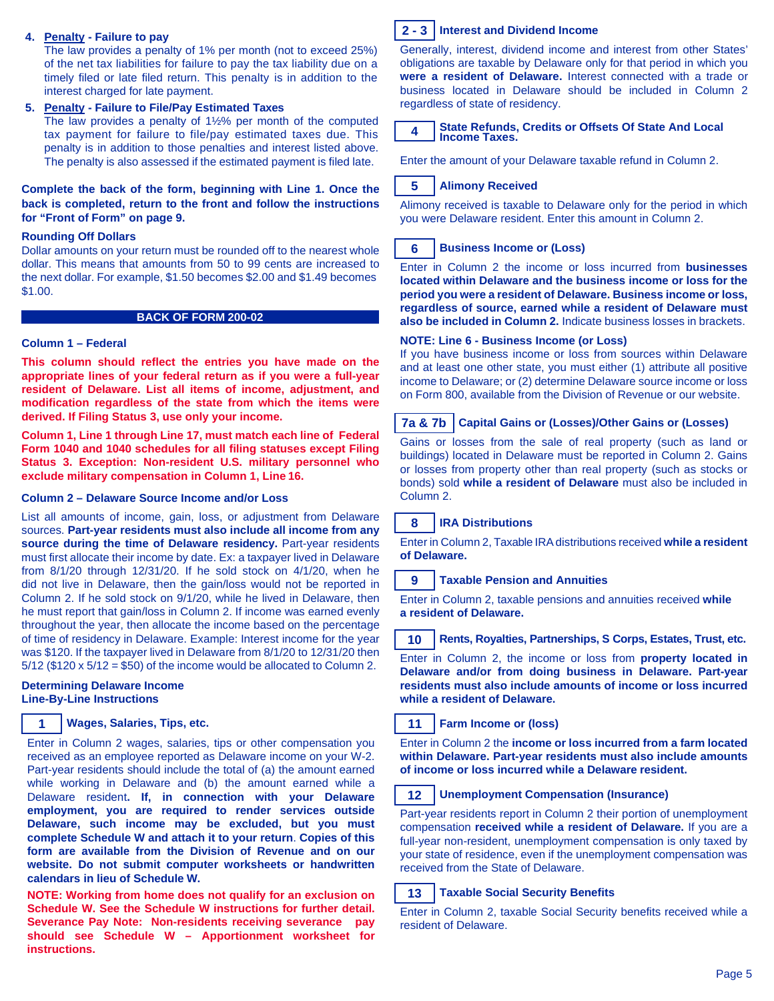### **4. Penalty - Failure to pay**

The law provides a penalty of 1% per month (not to exceed 25%) of the net tax liabilities for failure to pay the tax liability due on a timely filed or late filed return. This penalty is in addition to the interest charged for late payment.

### **5. Penalty - Failure to File/Pay Estimated Taxes**

The law provides a penalty of 1½% per month of the computed tax payment for failure to file/pay estimated taxes due. This penalty is in addition to those penalties and interest listed above. The penalty is also assessed if the estimated payment is filed late.

### **Complete the back of the form, beginning with Line 1. Once the back is completed, return to the front and follow the instructions for "Front of Form" on page 9.**

### **Rounding Off Dollars**

Dollar amounts on your return must be rounded off to the nearest whole dollar. This means that amounts from 50 to 99 cents are increased to the next dollar. For example, \$1.50 becomes \$2.00 and \$1.49 becomes \$1.00.

#### **BACK OF FORM 200-02**

### **Column 1 – Federal**

**This column should reflect the entries you have made on the appropriate lines of your federal return as if you were a full-year resident of Delaware. List all items of income, adjustment, and modification regardless of the state from which the items were derived. If Filing Status 3, use only your income.**

**Column 1, Line 1 through Line 17, must match each line of Federal Form 1040 and 1040 schedules for all filing statuses except Filing Status 3. Exception: Non-resident U.S. military personnel who exclude military compensation in Column 1, Line 16.**

### **Column 2 – Delaware Source Income and/or Loss**

List all amounts of income, gain, loss, or adjustment from Delaware sources. **Part-year residents must also include all income from any source during the time of Delaware residency.** Part-year residents must first allocate their income by date. Ex: a taxpayer lived in Delaware from 8/1/20 through 12/31/20. If he sold stock on 4/1/20, when he did not live in Delaware, then the gain/loss would not be reported in Column 2. If he sold stock on 9/1/20, while he lived in Delaware, then he must report that gain/loss in Column 2. If income was earned evenly throughout the year, then allocate the income based on the percentage of time of residency in Delaware. Example: Interest income for the year was \$120. If the taxpayer lived in Delaware from 8/1/20 to 12/31/20 then  $5/12$  (\$120 x  $5/12 = $50$ ) of the income would be allocated to Column 2.

### **Determining Delaware Income Line-By-Line Instructions**

## **Wages, Salaries, Tips, etc. 1 11**

Enter in Column 2 wages, salaries, tips or other compensation you received as an employee reported as Delaware income on your W-2. Part-year residents should include the total of (a) the amount earned while working in Delaware and (b) the amount earned while a Delaware resident**. If, in connection with your Delaware employment, you are required to render services outside Delaware, such income may be excluded, but you must complete Schedule W and attach it to your return**. **Copies of this form are available from the Division of Revenue and on our website. Do not submit computer worksheets or handwritten calendars in lieu of Schedule W.**

**NOTE: Working from home does not qualify for an exclusion on Schedule W. See the Schedule W instructions for further detail. Severance Pay Note: Non-residents receiving severance pay should see Schedule W – Apportionment worksheet for instructions.**



## **Interest and Dividend Income 2 - 3**

Generally, interest, dividend income and interest from other States' obligations are taxable by Delaware only for that period in which you **were a resident of Delaware.** Interest connected with a trade or business located in Delaware should be included in Column 2 regardless of state of residency.



### **State Refunds, Credits or Offsets Of State And Local Income Taxes.**

Enter the amount of your Delaware taxable refund in Column 2.

#### **Alimony Received 5**

Alimony received is taxable to Delaware only for the period in which you were Delaware resident. Enter this amount in Column 2.

#### **Business Income or (Loss) 6**

Enter in Column 2 the income or loss incurred from **businesses located within Delaware and the business income or loss for the period you were a resident of Delaware. Business income or loss, regardless of source, earned while a resident of Delaware must also be included in Column 2.** Indicate business losses in brackets.

### **NOTE: Line 6 - Business Income (or Loss)**

If you have business income or loss from sources within Delaware and at least one other state, you must either (1) attribute all positive income to Delaware; or (2) determine Delaware source income or loss on Form 800, available from the Division of Revenue or our website.

#### **Capital Gains or (Losses)/Other Gains or (Losses) 7a & 7b**

Gains or losses from the sale of real property (such as land or buildings) located in Delaware must be reported in Column 2. Gains or losses from property other than real property (such as stocks or bonds) sold **while a resident of Delaware** must also be included in Column 2.

#### **IRA Distributions 8**

Enter in Column 2, Taxable IRAdistributions received **while a resident of Delaware.**

#### **Taxable Pension and Annuities 9**

Enter in Column 2, taxable pensions and annuities received **while a resident of Delaware.**

#### **Rents, Royalties, Partnerships, S Corps, Estates, Trust, etc. 10**

Enter in Column 2, the income or loss from **property located in Delaware and/or from doing business in Delaware. Part-year residents must also include amounts of income or loss incurred while a resident of Delaware.**

**Farm Income or (loss)**

Enter in Column 2 the **income or loss incurred from a farm located within Delaware. Part-year residents must also include amounts of income or loss incurred while a Delaware resident.**

#### **Unemployment Compensation (Insurance) 12**

Part-year residents report in Column 2 their portion of unemployment compensation **received while a resident of Delaware.** If you are a full-year non-resident, unemployment compensation is only taxed by your state of residence, even if the unemployment compensation was received from the State of Delaware.

#### **Taxable Social Security Benefits 13**

Enter in Column 2, taxable Social Security benefits received while a resident of Delaware.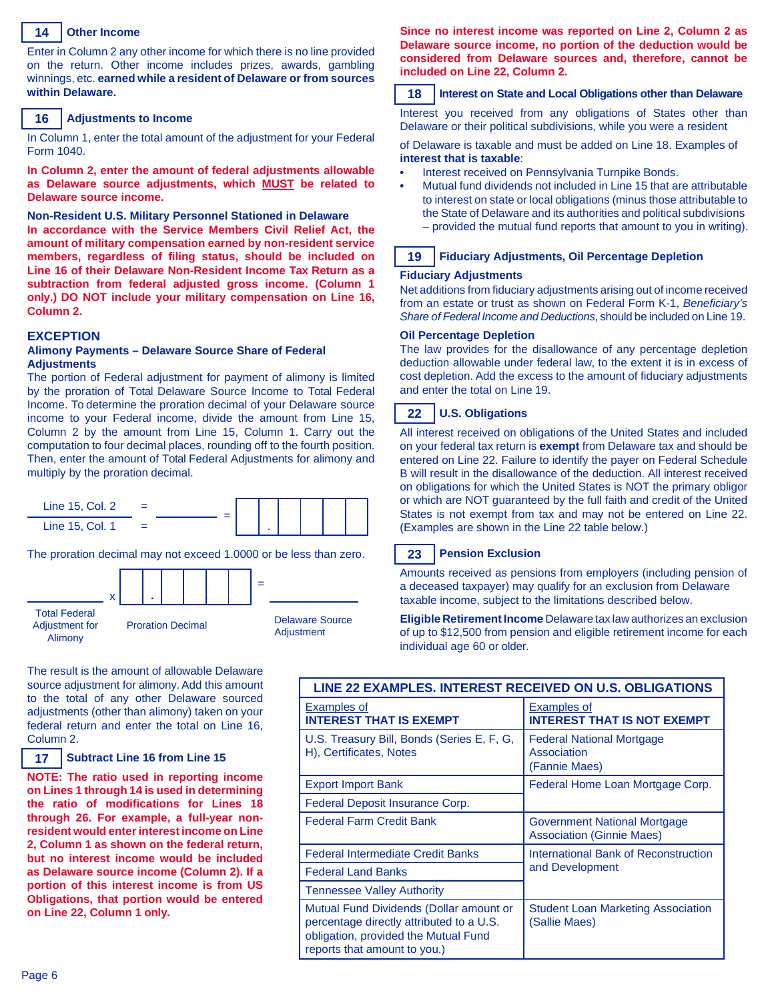#### **Other Income 14**

Enter in Column 2 any other income for which there is no line provided on the return. Other income includes prizes, awards, gambling winnings, etc. **earned while a resident of Delaware or from sources within Delaware.**

#### **Adjustments to Income 16**

In Column 1, enter the total amount of the adjustment for your Federal Form 1040.

**In Column 2, enter the amount of federal adjustments allowable as Delaware source adjustments, which MUST be related to Delaware source income.**

## **Non-Resident U.S. Military Personnel Stationed in Delaware**

**In accordance with the Service Members Civil Relief Act, the amount of military compensation earned by non-resident service members, regardless of filing status, should be included on Line 16 of their Delaware Non-Resident Income Tax Return as a subtraction from federal adjusted gross income. (Column 1 only.) DO NOT include your military compensation on Line 16, Column 2.**

#### **EXCEPTION**

#### **Alimony Payments – Delaware Source Share of Federal Adjustments**

The portion of Federal adjustment for payment of alimony is limited by the proration of Total Delaware Source Income to Total Federal Income. To determine the proration decimal of your Delaware source income to your Federal income, divide the amount from Line 15, Column 2 by the amount from Line 15, Column 1. Carry out the computation to four decimal places, rounding off to the fourth position. Then, enter the amount of Total Federal Adjustments for alimony and multiply by the proration decimal.



The proration decimal may not exceed 1.0000 or be less than zero.



The result is the amount of allowable Delaware source adjustment for alimony. Add this amount to the total of any other Delaware sourced adjustments (other than alimony) taken on your federal return and enter the total on Line 16, Column 2.

#### **Subtract Line 16 from Line 15 17**

**NOTE: The ratio used in reporting income on Lines 1 through 14 is used in determining the ratio of modifications for Lines 18 through 26. For example, a full-year nonresident would enterinterest income on Line 2, Column 1 as shown on the federal return, but no interest income would be included as Delaware source income (Column 2). If a portion of this interest income is from US Obligations, that portion would be entered on Line 22, Column 1 only.**

**Since no interest income was reported on Line 2, Column 2 as Delaware source income, no portion of the deduction would be considered from Delaware sources and, therefore, cannot be included on Line 22, Column 2.**

#### **Interest on State and Local Obligations other than Delaware 18**

Interest you received from any obligations of States other than Delaware or their political subdivisions, while you were a resident

of Delaware is taxable and must be added on Line 18. Examples of **interest that is taxable**:

- **•** Interest received on Pennsylvania Turnpike Bonds.
- **•** Mutual fund dividends not included in Line 15 that are attributable to interest on state or local obligations (minus those attributable to the State of Delaware and its authorities and political subdivisions – provided the mutual fund reports that amount to you in writing).

#### **19 Fiduciary Adjustments, Oil Percentage Depletion**

#### **Fiduciary Adjustments**

Net additions from fiduciary adjustments arising out of income received from an estate or trust as shown on Federal Form K-1, *Beneficiary's Share of Federal Income and Deductions*, should be included on Line 19.

#### **Oil Percentage Depletion**

The law provides for the disallowance of any percentage depletion deduction allowable under federal law, to the extent it is in excess of cost depletion. Add the excess to the amount of fiduciary adjustments and enter the total on Line 19.

#### **U.S. Obligations 22**

All interest received on obligations of the United States and included on your federal tax return is **exempt** from Delaware tax and should be entered on Line 22. Failure to identify the payer on Federal Schedule B will result in the disallowance of the deduction. All interest received on obligations for which the United States is NOT the primary obligor or which are NOT guaranteed by the full faith and credit of the United States is not exempt from tax and may not be entered on Line 22. (Examples are shown in the Line 22 table below.)

#### **Pension Exclusion 23**

Amounts received as pensions from employers (including pension of a deceased taxpayer) may qualify for an exclusion from Delaware taxable income, subject to the limitations described below.

**Eligible Retirement Income** Delaware tax law authorizes an exclusion of up to \$12,500 from pension and eligible retirement income for each individual age 60 or older.

| LINE 22 EXAMPLES. INTEREST RECEIVED ON U.S. OBLIGATIONS                                                                                                     |                                                                         |  |  |  |
|-------------------------------------------------------------------------------------------------------------------------------------------------------------|-------------------------------------------------------------------------|--|--|--|
| Examples of<br><b>INTEREST THAT IS EXEMPT</b>                                                                                                               | <b>Examples of</b><br><b>INTEREST THAT IS NOT EXEMPT</b>                |  |  |  |
| U.S. Treasury Bill, Bonds (Series E, F, G,<br>H), Certificates, Notes                                                                                       | <b>Federal National Mortgage</b><br>Association<br>(Fannie Maes)        |  |  |  |
| <b>Export Import Bank</b>                                                                                                                                   | Federal Home Loan Mortgage Corp.                                        |  |  |  |
| Federal Deposit Insurance Corp.                                                                                                                             |                                                                         |  |  |  |
| <b>Federal Farm Credit Bank</b>                                                                                                                             | <b>Government National Mortgage</b><br><b>Association (Ginnie Maes)</b> |  |  |  |
| <b>Federal Intermediate Credit Banks</b>                                                                                                                    | International Bank of Reconstruction                                    |  |  |  |
| <b>Federal Land Banks</b>                                                                                                                                   | and Development                                                         |  |  |  |
| <b>Tennessee Valley Authority</b>                                                                                                                           |                                                                         |  |  |  |
| Mutual Fund Dividends (Dollar amount or<br>percentage directly attributed to a U.S.<br>obligation, provided the Mutual Fund<br>reports that amount to you.) | <b>Student Loan Marketing Association</b><br>(Sallie Maes)              |  |  |  |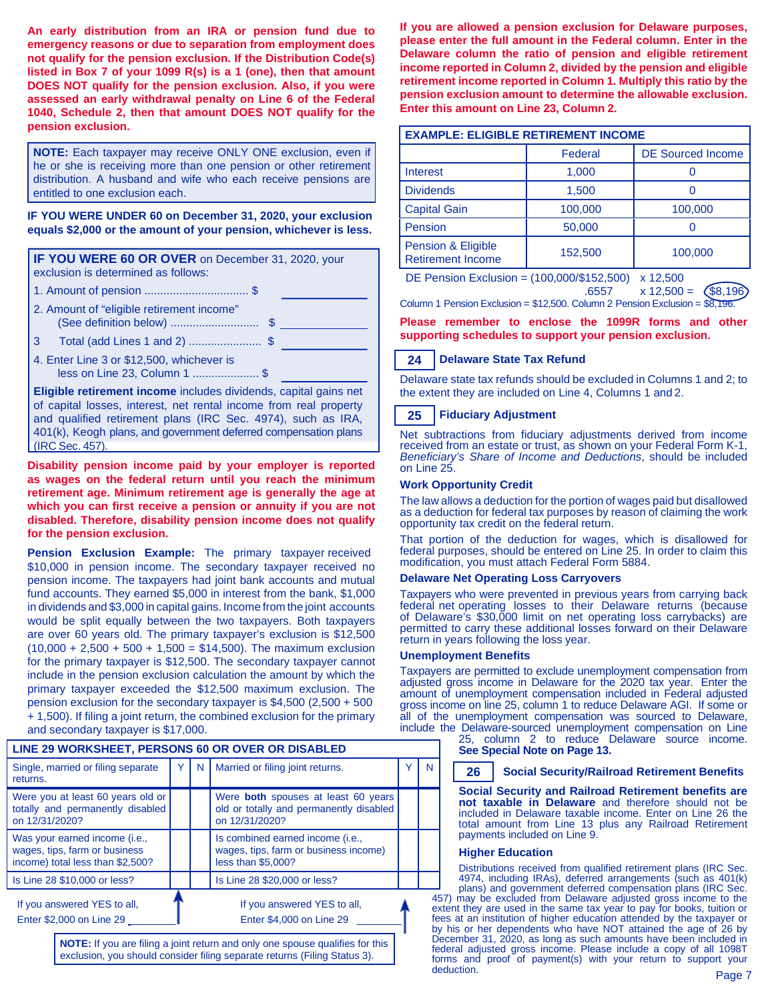**An early distribution from an IRA or pension fund due to emergency reasons or due to separation from employment does not qualify for the pension exclusion. If the Distribution Code(s) listed in Box 7 of your 1099 R(s) is a 1 (one), then that amount DOES NOT qualify for the pension exclusion. Also, if you were assessed an early withdrawal penalty on Line 6 of the Federal 1040, Schedule 2, then that amount DOES NOT qualify for the pension exclusion.**

**NOTE:** Each taxpayer may receive ONLY ONE exclusion, even if he or she is receiving more than one pension or other retirement distribution. A husband and wife who each receive pensions are entitled to one exclusion each.

**IF YOU WERE UNDER 60 on December 31, 2020, your exclusion equals \$2,000 or the amount of your pension, whichever is less.**

**IF YOU WERE 60 OR OVER** on December 31, 2020, your exclusion is determined as follows:

- 1. Amount of pension ................................. \$
- 2. Amount of "eligible retirement income"
- (See definition below) ............................ \$
- 3 Total (add Lines 1 and 2) ....................... \$
- 4. Enter Line 3 or \$12,500, whichever is less on Line 23, Column 1 ..................... \$

**Eligible retirement income** includes dividends, capital gains net of capital losses, interest, net rental income from real property and qualified retirement plans (IRC Sec. 4974), such as IRA, 401(k), Keogh plans, and government deferred compensation plans (IRC Sec. 457).

**Disability pension income paid by your employer is reported as wages on the federal return until you reach the minimum retirement age. Minimum retirement age is generally the age at which you can first receive a pension or annuity if you are not disabled. Therefore, disability pension income does not qualify for the pension exclusion.**

**Pension Exclusion Example:** The primary taxpayer received \$10,000 in pension income. The secondary taxpayer received no pension income. The taxpayers had joint bank accounts and mutual fund accounts. They earned \$5,000 in interest from the bank, \$1,000 in dividends and \$3,000 in capital gains. Income from the joint accounts would be split equally between the two taxpayers. Both taxpayers are over 60 years old. The primary taxpayer's exclusion is \$12,500  $(10,000 + 2,500 + 500 + 1,500 = $14,500)$ . The maximum exclusion for the primary taxpayer is \$12,500. The secondary taxpayer cannot include in the pension exclusion calculation the amount by which the primary taxpayer exceeded the \$12,500 maximum exclusion. The pension exclusion for the secondary taxpayer is \$4,500 (2,500 + 500 + 1,500). If filing a joint return, the combined exclusion for the primary and secondary taxpayer is \$17,000.

## **LINE 29 WORKSHEET, PERSONS 60 OR OVER OR DISABLED** Single, married or filing separate | Y | N | Married or filing joint returns. | Y | N

| <b>Separate, interned of filling separate</b><br>returns.                                          | $\mathbf{N}$ | <b>IVIAHICU VI IIIIIIY JUIIII ICLUIIIS.</b>                                                      |  |
|----------------------------------------------------------------------------------------------------|--------------|--------------------------------------------------------------------------------------------------|--|
| Were you at least 60 years old or<br>totally and permanently disabled<br>on 12/31/2020?            |              | Were both spouses at least 60 years<br>old or totally and permanently disabled<br>on 12/31/2020? |  |
| Was your earned income (i.e.,<br>wages, tips, farm or business<br>income) total less than \$2,500? |              | Is combined earned income (i.e.,<br>wages, tips, farm or business income)<br>less than \$5,000?  |  |
| Is Line 28 \$10,000 or less?                                                                       |              | Is Line 28 \$20,000 or less?                                                                     |  |
| If you answered YES to all,<br>Enter \$2,000 on Line 29                                            |              | If you answered YES to all,<br>Enter \$4,000 on Line 29                                          |  |
|                                                                                                    |              |                                                                                                  |  |

**NOTE:** If you are filing a joint return and only one spouse qualifies for this exclusion, you should consider filing separate returns (Filing Status 3).

**If you are allowed a pension exclusion for Delaware purposes, please enter the full amount in the Federal column. Enter in the Delaware column the ratio of pension and eligible retirement income reported in Column 2, divided by the pension and eligible retirement income reported in Column 1. Multiply this ratio by the pension exclusion amount to determine the allowable exclusion. Enter this amount on Line 23, Column 2.**

| <b>EXAMPLE: ELIGIBLE RETIREMENT INCOME</b>     |         |                          |  |  |  |
|------------------------------------------------|---------|--------------------------|--|--|--|
|                                                | Federal | <b>DE Sourced Income</b> |  |  |  |
| Interest                                       | 1,000   |                          |  |  |  |
| <b>Dividends</b>                               | 1,500   |                          |  |  |  |
| <b>Capital Gain</b>                            | 100,000 | 100,000                  |  |  |  |
| Pension                                        | 50,000  |                          |  |  |  |
| Pension & Eligible<br><b>Retirement Income</b> | 152,500 | 100,000                  |  |  |  |

DE Pension Exclusion = (100,000/\$152,500) x 12,500

.6557 x 12,500 = \$8,196 Column 1 Pension Exclusion = \$12,500. Column 2 Pension Exclusion = \$8,196.

**Please remember to enclose the 1099R forms and other supporting schedules to support your pension exclusion.**

#### **Delaware State Tax Refund 24**

Delaware state tax refunds should be excluded in Columns 1 and 2; to the extent they are included on Line 4, Columns 1 and 2.

#### **Fiduciary Adjustment 25**

Net subtractions from fiduciary adjustments derived from income received from an estate or trust, as shown on your Federal Form K-1, *Beneficiary's Share of Income and Deductions*, should be included on Line 25.

## **Work Opportunity Credit**

The law allows a deduction for the portion of wages paid but disallowed as a deduction for federal tax purposes by reason of claiming the work opportunity tax credit on the federal return.

That portion of the deduction for wages, which is disallowed for federal purposes, should be entered on Line 25. In order to claim this modification, you must attach Federal Form 5884.

### **Delaware Net Operating Loss Carryovers**

Taxpayers who were prevented in previous years from carrying back federal net operating losses to their Delaware returns (because of Delaware's \$30,000 limit on net operating loss carrybacks) are permitted to carry these additional losses forward on their Delaware return in years following the loss year.

### **Unemployment Benefits**

Taxpayers are permitted to exclude unemployment compensation from adjusted gross income in Delaware for the 2020 tax year. Enter the amount of unemployment compensation included in Federal adjusted gross income on line 25, column 1 to reduce Delaware AGI. If some or all of the unemployment compensation was sourced to Delaware, include the Delaware-sourced unemployment compensation on Line

25, column 2 to reduce Delaware source income. **See Special Note on Page 13.**

#### **Social Security/Railroad Retirement Benefits 26**

**Social Security and Railroad Retirement benefits are not taxable in Delaware** and therefore should not be included in Delaware taxable income. Enter on Line 26 the total amount from Line 13 plus any Railroad Retirement payments included on Line 9.

### **Higher Education**

Distributions received from qualified retirement plans (IRC Sec. 4974, including IRAs), deferred arrangements (such as 401(k) plans) and government deferred compensation plans (IRC Sec.

Page 7 457) may be excluded from Delaware adjusted gross income to the extent they are used in the same tax year to pay for books, tuition or fees at an institution of higher education attended by the taxpayer or by his or her dependents who have NOT attained the age of 26 by December 31, 2020, as long as such amounts have been included in federal adjusted gross income. Please include a copy of all 1098T forms and proof of payment(s) with your return to support your deduction.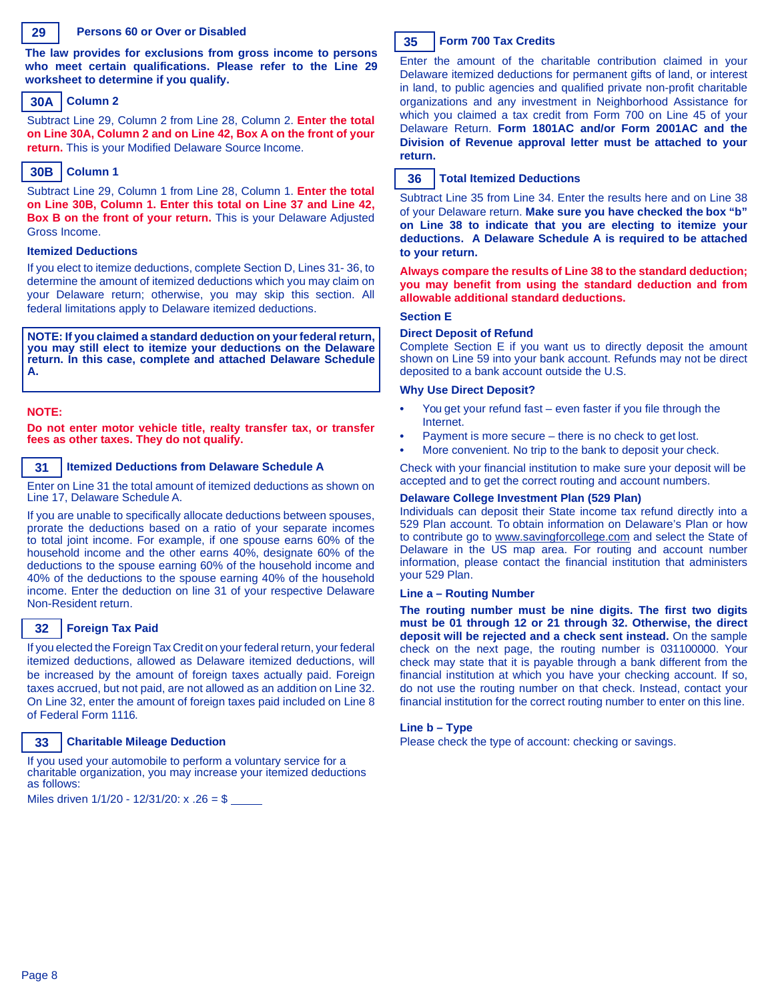### **29**

#### **Persons 60 or Over or Disabled**

**The law provides for exclusions from gross income to persons who meet certain qualifications. Please refer to the Line 29 worksheet to determine if you qualify.**

## **Column 2 30A**

Subtract Line 29, Column 2 from Line 28, Column 2. **Enter the total on Line 30A, Column 2 and on Line 42, Box A on the front of your return.** This is your Modified Delaware Source Income.

## **Column 1 30B**

Subtract Line 29, Column 1 from Line 28, Column 1. **Enter the total on Line 30B, Column 1. Enter this total on Line 37 and Line 42, Box B on the front of your return.** This is your Delaware Adjusted Gross Income.

#### **Itemized Deductions**

If you elect to itemize deductions, complete Section D, Lines 31- 36, to determine the amount of itemized deductions which you may claim on your Delaware return; otherwise, you may skip this section. All federal limitations apply to Delaware itemized deductions.

**NOTE: If you claimed a standard deduction on yourfederal return, you may still elect to itemize your deductions on the Delaware return. In this case, complete and attached Delaware Schedule A.**

### **NOTE:**

**Do not enter motor vehicle title, realty transfer tax, or transfer fees as other taxes. They do not qualify.**

#### **Itemized Deductions from Delaware Schedule A 31**

Enter on Line 31 the total amount of itemized deductions as shown on Line 17, Delaware Schedule A.

If you are unable to specifically allocate deductions between spouses, prorate the deductions based on a ratio of your separate incomes to total joint income. For example, if one spouse earns 60% of the household income and the other earns 40%, designate 60% of the deductions to the spouse earning 60% of the household income and 40% of the deductions to the spouse earning 40% of the household income. Enter the deduction on line 31 of your respective Delaware Non-Resident return.

#### **Foreign Tax Paid 32**

If you elected the Foreign Tax Credit on your federal return, your federal itemized deductions, allowed as Delaware itemized deductions, will be increased by the amount of foreign taxes actually paid. Foreign taxes accrued, but not paid, are not allowed as an addition on Line 32. On Line 32, enter the amount of foreign taxes paid included on Line 8 of Federal Form 1116.

#### **Charitable Mileage Deduction 33**

If you used your automobile to perform a voluntary service for a charitable organization, you may increase your itemized deductions as follows:

Miles driven 1/1/20 - 12/31/20: x .26 = \$



## **Form 700 Tax Credits**

Enter the amount of the charitable contribution claimed in your Delaware itemized deductions for permanent gifts of land, or interest in land, to public agencies and qualified private non-profit charitable organizations and any investment in Neighborhood Assistance for which you claimed a tax credit from Form 700 on Line 45 of your Delaware Return. **Form 1801AC and/or Form 2001AC and the Division of Revenue approval letter must be attached to your return.**

#### **Total Itemized Deductions 36**

Subtract Line 35 from Line 34. Enter the results here and on Line 38 of your Delaware return. **Make sure you have checked the box "b" on Line 38 to indicate that you are electing to itemize your deductions. A Delaware Schedule A is required to be attached to your return.**

**Always compare the results of Line 38 to the standard deduction; you may benefit from using the standard deduction and from allowable additional standard deductions.**

#### **Section E**

#### **Direct Deposit of Refund**

Complete Section E if you want us to directly deposit the amount shown on Line 59 into your bank account. Refunds may not be direct deposited to a bank account outside the U.S.

#### **Why Use Direct Deposit?**

- **•** You get your refund fast even faster if you file through the Internet.
- **•** Payment is more secure there is no check to get lost.
- **•** More convenient. No trip to the bank to deposit your check.

Check with your financial institution to make sure your deposit will be accepted and to get the correct routing and account numbers.

#### **Delaware College Investment Plan (529 Plan)**

Individuals can deposit their State income tax refund directly into a 529 Plan account. To obtain information on Delaware's Plan or how to contribute go to [www.savingforcollege.com](http://www.savingforcollege.com/) and select the State of Delaware in the US map area. For routing and account number information, please contact the financial institution that administers your 529 Plan.

#### **Line a – Routing Number**

**The routing number must be nine digits. The first two digits must be 01 through 12 or 21 through 32. Otherwise, the direct deposit will be rejected and a check sent instead.** On the sample check on the next page, the routing number is 031100000. Your check may state that it is payable through a bank different from the financial institution at which you have your checking account. If so, do not use the routing number on that check. Instead, contact your financial institution for the correct routing number to enter on this line.

### **Line b – Type**

Please check the type of account: checking or savings.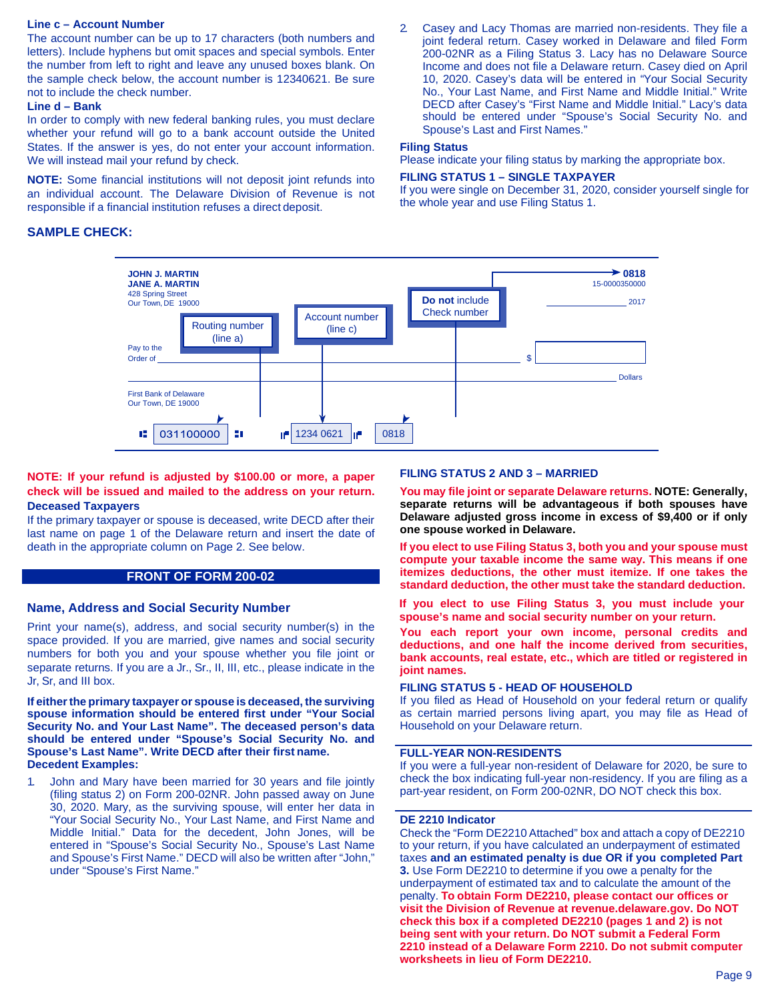### **Line c – Account Number**

The account number can be up to 17 characters (both numbers and letters). Include hyphens but omit spaces and special symbols. Enter the number from left to right and leave any unused boxes blank. On the sample check below, the account number is 12340621. Be sure not to include the check number.

### **Line d – Bank**

In order to comply with new federal banking rules, you must declare whether your refund will go to a bank account outside the United States. If the answer is yes, do not enter your account information. We will instead mail your refund by check.

**NOTE:** Some financial institutions will not deposit joint refunds into an individual account. The Delaware Division of Revenue is not responsible if a financial institution refuses a direct deposit.

## **SAMPLE CHECK:**

2. Casey and Lacy Thomas are married non-residents. They file a joint federal return. Casey worked in Delaware and filed Form 200-02NR as a Filing Status 3. Lacy has no Delaware Source Income and does not file a Delaware return. Casey died on April 10, 2020. Casey's data will be entered in "Your Social Security No., Your Last Name, and First Name and Middle Initial." Write DECD after Casey's "First Name and Middle Initial." Lacy's data should be entered under "Spouse's Social Security No. and Spouse's Last and First Names."

## **Filing Status**

Please indicate your filing status by marking the appropriate box.

## **FILING STATUS 1 – SINGLE TAXPAYER**

If you were single on December 31, 2020, consider yourself single for the whole year and use Filing Status 1.



## **NOTE: If your refund is adjusted by \$100.00 or more, a paper check will be issued and mailed to the address on your return. Deceased Taxpayers**

If the primary taxpayer or spouse is deceased, write DECD after their last name on page 1 of the Delaware return and insert the date of death in the appropriate column on Page 2. See below.

## **FRONT OF FORM 200-02**

## **Name, Address and Social Security Number**

Print your name(s), address, and social security number(s) in the space provided. If you are married, give names and social security numbers for both you and your spouse whether you file joint or separate returns. If you are a Jr., Sr., II, III, etc., please indicate in the Jr, Sr, and III box.

**If eitherthe primary taxpayer or spouse is deceased, the surviving spouse information should be entered first under "Your Social Security No. and Your Last Name". The deceased person's data should be entered under "Spouse's Social Security No. and Spouse's Last Name". Write DECD after their first name. Decedent Examples:**

1. John and Mary have been married for 30 years and file jointly (filing status 2) on Form 200-02NR. John passed away on June 30, 2020. Mary, as the surviving spouse, will enter her data in "Your Social Security No., Your Last Name, and First Name and Middle Initial." Data for the decedent, John Jones, will be entered in "Spouse's Social Security No., Spouse's Last Name and Spouse's First Name." DECD will also be written after "John," under "Spouse's First Name."

## **FILING STATUS 2 AND 3 – MARRIED**

**You may file joint or separate Delaware returns. NOTE: Generally, separate returns will be advantageous if both spouses have Delaware adjusted gross income in excess of \$9,400 or if only one spouse worked in Delaware.**

**If you elect to use Filing Status 3, both you and your spouse must compute your taxable income the same way. This means if one itemizes deductions, the other must itemize. If one takes the standard deduction, the other must take the standard deduction.**

**If you elect to use Filing Status 3, you must include your spouse's name and social security number on your return.** 

**You each report your own income, personal credits and deductions, and one half the income derived from securities, bank accounts, real estate, etc., which are titled or registered in joint names.**

## **FILING STATUS 5 - HEAD OF HOUSEHOLD**

If you filed as Head of Household on your federal return or qualify as certain married persons living apart, you may file as Head of Household on your Delaware return.

## **FULL-YEAR NON-RESIDENTS**

If you were a full-year non-resident of Delaware for 2020, be sure to check the box indicating full-year non-residency. If you are filing as a part-year resident, on Form 200-02NR, DO NOT check this box.

### **DE 2210 Indicator**

Check the "Form DE2210 Attached" box and attach a copy of DE2210 to your return, if you have calculated an underpayment of estimated taxes **and an estimated penalty is due OR if you completed Part 3.** Use Form DE2210 to determine if you owe a penalty for the underpayment of estimated tax and to calculate the amount of the penalty. **To obtain Form DE2210, please contact our offices or visit the Division of Revenue at [revenue.delaware.gov. D](http://www.revenue.delaware.gov/)o NOT check this box if a completed DE2210 (pages 1 and 2) is not being sent with your return. Do NOT submit a Federal Form 2210 instead of a Delaware Form 2210. Do not submit computer worksheets in lieu of Form DE2210.**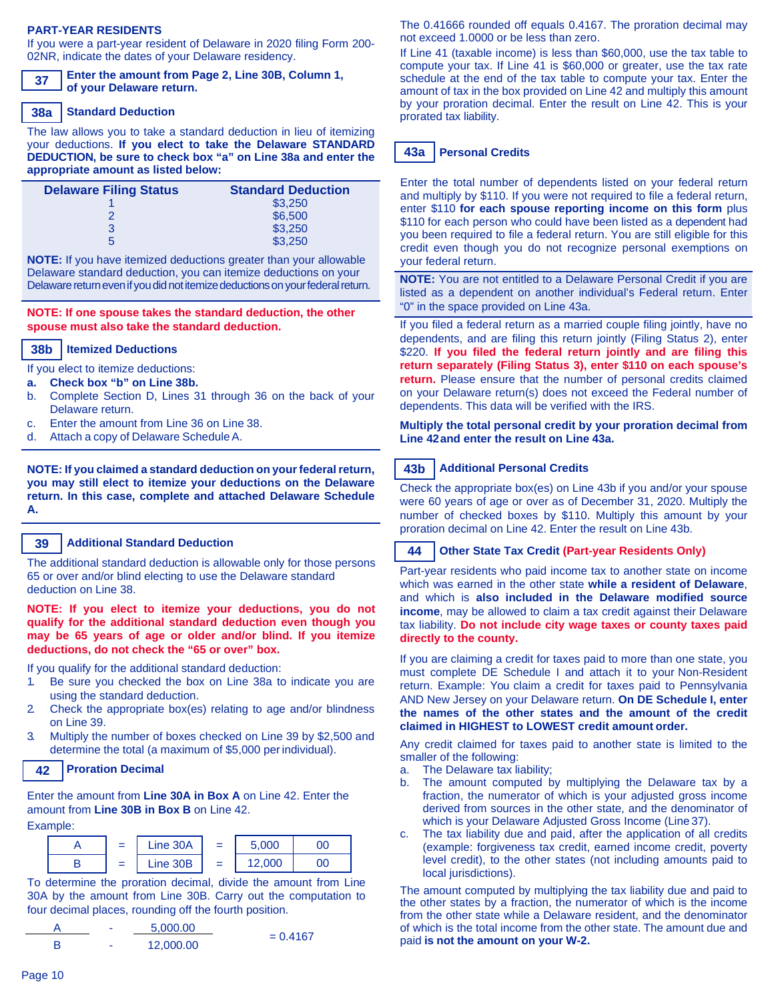### **PART-YEAR RESIDENTS**

If you were a part-year resident of Delaware in 2020 filing Form 200- 02NR, indicate the dates of your Delaware residency.

**Enter the amount from Page 2, Line 30B, Column 1, of your Delaware return. 37**

#### **Standard Deduction 38a**

The law allows you to take a standard deduction in lieu of itemizing your deductions. **If you elect to take the Delaware STANDARD DEDUCTION, be sure to check box "a" on Line 38a and enter the appropriate amount as listed below:**

| <b>Standard Deduction</b> |
|---------------------------|
| \$3,250                   |
| \$6,500                   |
| \$3,250                   |
| \$3,250                   |
|                           |

**NOTE:** If you have itemized deductions greater than your allowable Delaware standard deduction, you can itemize deductions on your Delaware return even if you did not itemize deductions on your federal return.

### **NOTE: If one spouse takes the standard deduction, the other spouse must also take the standard deduction.**

#### **Itemized Deductions 38b**

If you elect to itemize deductions:

- **a. Check box "b" on Line 38b.**
- b. Complete Section D, Lines 31 through 36 on the back of your Delaware return.
- c. Enter the amount from Line 36 on Line 38.
- d. Attach a copy of Delaware ScheduleA.

**NOTE: If you claimed a standard deduction on yourfederal return, you may still elect to itemize your deductions on the Delaware return. In this case, complete and attached Delaware Schedule A.**

#### **Additional Standard Deduction 39**

The additional standard deduction is allowable only for those persons 65 or over and/or blind electing to use the Delaware standard deduction on Line 38.

**NOTE: If you elect to itemize your deductions, you do not qualify for the additional standard deduction even though you may be 65 years of age or older and/or blind. If you itemize deductions, do not check the "65 or over" box.**

If you qualify for the additional standard deduction:

- 1. Be sure you checked the box on Line 38a to indicate you are using the standard deduction.
- 2. Check the appropriate box(es) relating to age and/or blindness on Line 39.
- 3. Multiply the number of boxes checked on Line 39 by \$2,500 and determine the total (a maximum of \$5,000 per individual).

#### **Proration Decimal 42**

Enter the amount from **Line 30A in Box A** on Line 42. Enter the amount from **Line 30B in Box B** on Line 42. Example:

#### $A \parallel = \parallel$  Line 30A $\parallel$  =  $\begin{array}{|c|c|c|c|c|c|}\n\hline\n\end{array}$  =  $\begin{array}{|c|c|c|c|c|}\n\hline\n\end{array}$  =  $\begin{array}{|c|c|c|c|c|}\n\hline\n\end{array}$  $5,000$  00 12,000 00

To determine the proration decimal, divide the amount from Line 30A by the amount from Line 30B. Carry out the computation to four decimal places, rounding off the fourth position.



The 0.41666 rounded off equals 0.4167. The proration decimal may not exceed 1.0000 or be less than zero.

If Line 41 (taxable income) is less than \$60,000, use the tax table to compute your tax. If Line 41 is \$60,000 or greater, use the tax rate schedule at the end of the tax table to compute your tax. Enter the amount of tax in the box provided on Line 42 and multiply this amount by your proration decimal. Enter the result on Line 42. This is your prorated tax liability.

#### **Personal Credits 43a**

Enter the total number of dependents listed on your federal return and multiply by \$110. If you were not required to file a federal return, enter \$110 **for each spouse reporting income on this form** plus \$110 for each person who could have been listed as a dependent had you been required to file a federal return. You are still eligible for this credit even though you do not recognize personal exemptions on your federal return.

**NOTE:** You are not entitled to a Delaware Personal Credit if you are listed as a dependent on another individual's Federal return. Enter "0" in the space provided on Line 43a.

If you filed a federal return as a married couple filing jointly, have no dependents, and are filing this return jointly (Filing Status 2), enter \$220. **If you filed the federal return jointly and are filing this return separately (Filing Status 3), enter \$110 on each spouse's return.** Please ensure that the number of personal credits claimed on your Delaware return(s) does not exceed the Federal number of dependents. This data will be verified with the IRS.

**Multiply the total personal credit by your proration decimal from Line 42and enter the result on Line 43a.**

#### **Additional Personal Credits 43b**

Check the appropriate box(es) on Line 43b if you and/or your spouse were 60 years of age or over as of December 31, 2020. Multiply the number of checked boxes by \$110. Multiply this amount by your proration decimal on Line 42. Enter the result on Line 43b.

#### **Other State Tax Credit (Part-year Residents Only) 44**

Part-year residents who paid income tax to another state on income which was earned in the other state **while a resident of Delaware**, and which is **also included in the Delaware modified source income**, may be allowed to claim a tax credit against their Delaware tax liability. **Do not include city wage taxes or county taxes paid directly to the county.**

If you are claiming a credit for taxes paid to more than one state, you must complete DE Schedule I and attach it to your Non-Resident return. Example: You claim a credit for taxes paid to Pennsylvania AND New Jersey on your Delaware return. **On DE Schedule I, enter the names of the other states and the amount of the credit claimed in HIGHEST to LOWEST credit amount order.**

Any credit claimed for taxes paid to another state is limited to the smaller of the following:

- a. The Delaware tax liability;
- b. The amount computed by multiplying the Delaware tax by a fraction, the numerator of which is your adjusted gross income derived from sources in the other state, and the denominator of which is your Delaware Adjusted Gross Income (Line 37).
- c. The tax liability due and paid, after the application of all credits (example: forgiveness tax credit, earned income credit, poverty level credit), to the other states (not including amounts paid to local jurisdictions).

The amount computed by multiplying the tax liability due and paid to the other states by a fraction, the numerator of which is the income from the other state while a Delaware resident, and the denominator of which is the total income from the other state. The amount due and paid **is not the amount on your W-2.**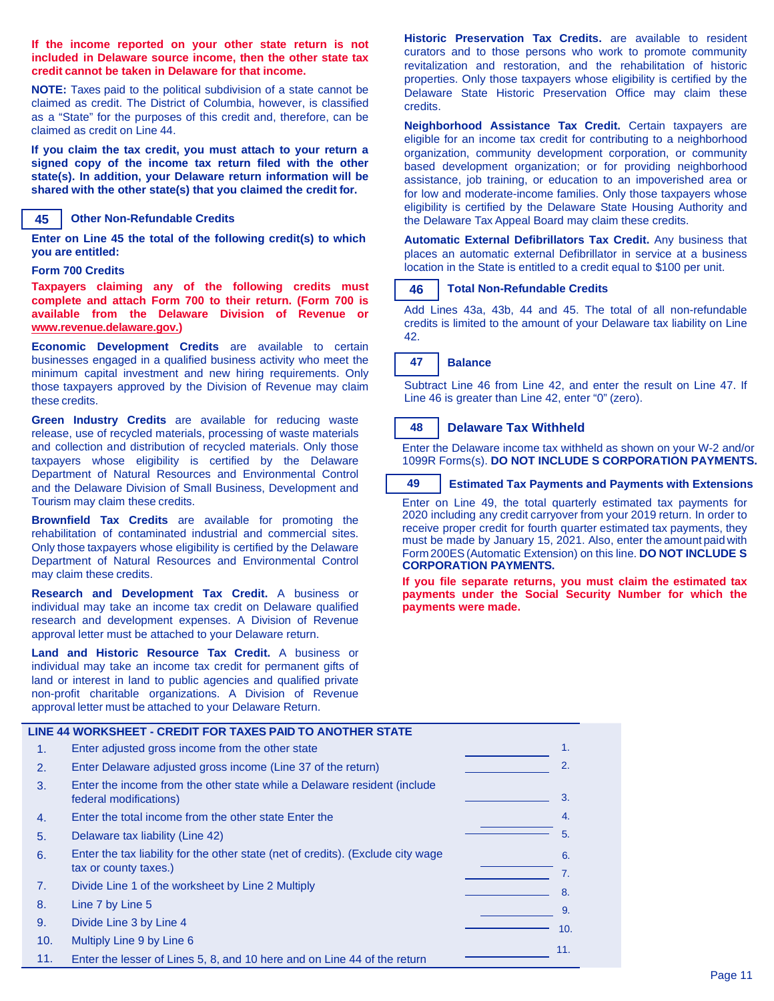**If the income reported on your other state return is not included in Delaware source income, then the other state tax credit cannot be taken in Delaware for that income.**

**NOTE:** Taxes paid to the political subdivision of a state cannot be claimed as credit. The District of Columbia, however, is classified as a "State" for the purposes of this credit and, therefore, can be claimed as credit on Line 44.

**If you claim the tax credit, you must attach to your return a signed copy of the income tax return filed with the other state(s). In addition, your Delaware return information will be shared with the other state(s) that you claimed the credit for.**

#### **Other Non-Refundable Credits 45**

**Enter on Line 45 the total of the following credit(s) to which you are entitled:**

#### **Form 700 Credits**

**Taxpayers claiming any of the following credits must complete and attach Form 700 to their return. (Form 700 is available from the Delaware Division of Revenue or www.revenue.delaware.gov.)**

**Economic Development Credits** are available to certain businesses engaged in a qualified business activity who meet the minimum capital investment and new hiring requirements. Only those taxpayers approved by the Division of Revenue may claim these credits.

**Green Industry Credits** are available for reducing waste release, use of recycled materials, processing of waste materials and collection and distribution of recycled materials. Only those taxpayers whose eligibility is certified by the Delaware Department of Natural Resources and Environmental Control and the Delaware Division of Small Business, Development and Tourism may claim these credits.

**Brownfield Tax Credits** are available for promoting the rehabilitation of contaminated industrial and commercial sites. Only those taxpayers whose eligibility is certified by the Delaware Department of Natural Resources and Environmental Control may claim these credits.

**Research and Development Tax Credit.** A business or individual may take an income tax credit on Delaware qualified research and development expenses. A Division of Revenue approval letter must be attached to your Delaware return.

**Land and Historic Resource Tax Credit.** A business or individual may take an income tax credit for permanent gifts of land or interest in land to public agencies and qualified private non-profit charitable organizations. A Division of Revenue approval letter must be attached to your Delaware Return.

**Historic Preservation Tax Credits.** are available to resident curators and to those persons who work to promote community revitalization and restoration, and the rehabilitation of historic properties. Only those taxpayers whose eligibility is certified by the Delaware State Historic Preservation Office may claim these credits.

**Neighborhood Assistance Tax Credit.** Certain taxpayers are eligible for an income tax credit for contributing to a neighborhood organization, community development corporation, or community based development organization; or for providing neighborhood assistance, job training, or education to an impoverished area or for low and moderate-income families. Only those taxpayers whose eligibility is certified by the Delaware State Housing Authority and the Delaware Tax Appeal Board may claim these credits.

**Automatic External Defibrillators Tax Credit.** Any business that places an automatic external Defibrillator in service at a business location in the State is entitled to a credit equal to \$100 per unit.

#### **Total Non-Refundable Credits 46**

Add Lines 43a, 43b, 44 and 45. The total of all non-refundable credits is limited to the amount of your Delaware tax liability on Line 42.

#### **Balance 47**

Subtract Line 46 from Line 42, and enter the result on Line 47. If Line 46 is greater than Line 42, enter "0" (zero).

#### **Delaware Tax Withheld 48**

Enter the Delaware income tax withheld as shown on your W-2 and/or 1099R Forms(s). **DO NOT INCLUDE S CORPORATION PAYMENTS.**

#### **Estimated Tax Payments and Payments with Extensions 49**

Enter on Line 49, the total quarterly estimated tax payments for 2020 including any credit carryover from your 2019 return. In order to receive proper credit for fourth quarter estimated tax payments, they must be made by January 15, 2021. Also, enter the amount paid with Form 200ES(Automatic Extension) on this line. **DO NOT INCLUDE S CORPORATION PAYMENTS.**

**If you file separate returns, you must claim the estimated tax payments under the Social Security Number for which the payments were made.**

|     | LINE 44 WORKSHEET - CREDIT FOR TAXES PAID TO ANOTHER STATE                                                |                |
|-----|-----------------------------------------------------------------------------------------------------------|----------------|
| 1.  | Enter adjusted gross income from the other state                                                          | $\mathbf{1}$ . |
| 2.  | Enter Delaware adjusted gross income (Line 37 of the return)                                              | 2.             |
| 3.  | Enter the income from the other state while a Delaware resident (include<br>federal modifications)        | 3.             |
| 4.  | Enter the total income from the other state Enter the                                                     | 4.             |
| 5.  | Delaware tax liability (Line 42)                                                                          | 5.             |
| 6.  | Enter the tax liability for the other state (net of credits). (Exclude city wage<br>tax or county taxes.) | 6.<br>7.       |
| 7.  | Divide Line 1 of the worksheet by Line 2 Multiply                                                         | 8.             |
| 8.  | Line 7 by Line 5                                                                                          | 9.             |
| 9.  | Divide Line 3 by Line 4                                                                                   | 10.            |
| 10. | Multiply Line 9 by Line 6                                                                                 |                |
| 11. | Enter the lesser of Lines 5, 8, and 10 here and on Line 44 of the return                                  | 11.            |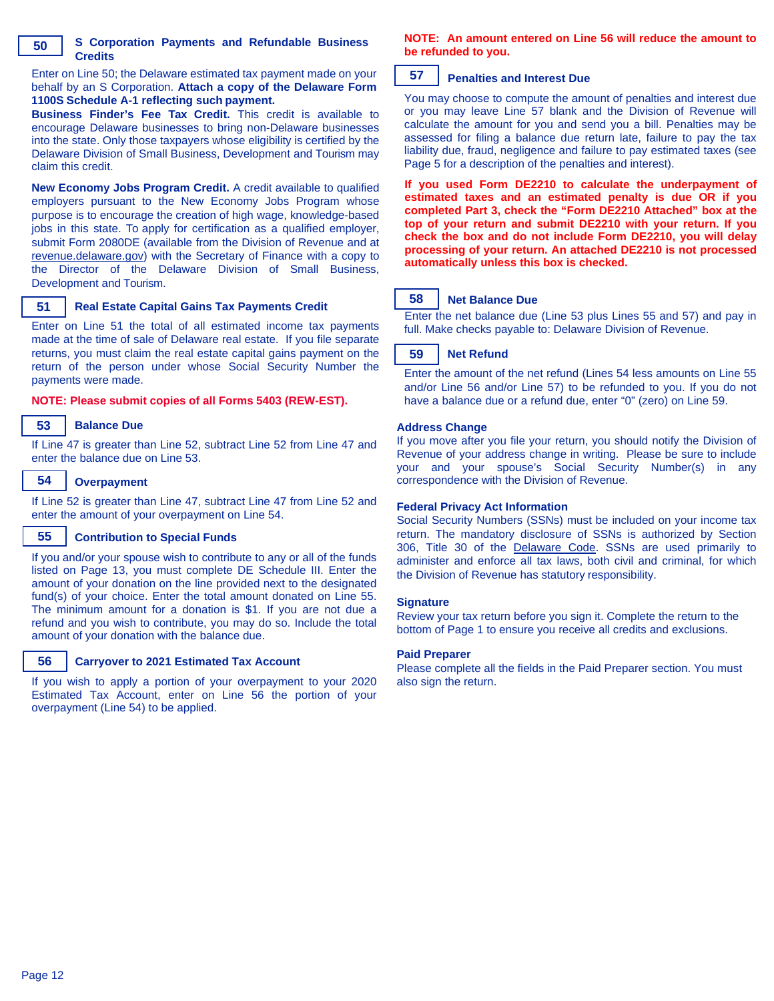Enter on Line 50; the Delaware estimated tax payment made on your behalf by an S Corporation. **Attach a copy of the Delaware Form 1100S Schedule A-1 reflecting such payment.**

**Business Finder's Fee Tax Credit.** This credit is available to encourage Delaware businesses to bring non-Delaware businesses into the state. Only those taxpayers whose eligibility is certified by the Delaware Division of Small Business, Development and Tourism may claim this credit.

**New Economy Jobs Program Credit.** A credit available to qualified employers pursuant to the New Economy Jobs Program whose purpose is to encourage the creation of high wage, knowledge-based jobs in this state. To apply for certification as a qualified employer, submit Form 2080DE (available from the Division of Revenue and at revenue.delaware.gov) with the Secretary of Finance with a copy to the Director of the Delaware Division of Small Business, Development and Tourism.

#### **Real Estate Capital Gains Tax Payments Credit 51**

Enter on Line 51 the total of all estimated income tax payments made at the time of sale of Delaware real estate. If you file separate returns, you must claim the real estate capital gains payment on the return of the person under whose Social Security Number the payments were made.

**NOTE: Please submit copies of all Forms 5403 (REW-EST).**

#### **Balance Due 53**

If Line 47 is greater than Line 52, subtract Line 52 from Line 47 and enter the balance due on Line 53.

#### **Overpayment 54**

If Line 52 is greater than Line 47, subtract Line 47 from Line 52 and enter the amount of your overpayment on Line 54.

#### **Contribution to Special Funds 55**

If you and/or your spouse wish to contribute to any or all of the funds listed on Page 13, you must complete DE Schedule III. Enter the amount of your donation on the line provided next to the designated fund(s) of your choice. Enter the total amount donated on Line 55. The minimum amount for a donation is \$1. If you are not due a refund and you wish to contribute, you may do so. Include the total amount of your donation with the balance due.



## **Carryover to 2021 Estimated Tax Account**

If you wish to apply a portion of your overpayment to your 2020 Estimated Tax Account, enter on Line 56 the portion of your overpayment (Line 54) to be applied.

## **NOTE: An amount entered on Line 56 will reduce the amount to be refunded to you.**

#### **Penalties and Interest Due 57**

You may choose to compute the amount of penalties and interest due or you may leave Line 57 blank and the Division of Revenue will calculate the amount for you and send you a bill. Penalties may be assessed for filing a balance due return late, failure to pay the tax liability due, fraud, negligence and failure to pay estimated taxes (see Page 5 for a description of the penalties and interest).

**If you used Form DE2210 to calculate the underpayment of estimated taxes and an estimated penalty is due OR if you completed Part 3, check the "Form DE2210 Attached" box at the top of your return and submit DE2210 with your return. If you check the box and do not include Form DE2210, you will delay processing of your return. An attached DE2210 is not processed automatically unless this box is checked.**

#### **Net Balance Due 58**

Enter the net balance due (Line 53 plus Lines 55 and 57) and pay in full. Make checks payable to: Delaware Division of Revenue.

#### **Net Refund 59**

Enter the amount of the net refund (Lines 54 less amounts on Line 55 and/or Line 56 and/or Line 57) to be refunded to you. If you do not have a balance due or a refund due, enter "0" (zero) on Line 59.

### **Address Change**

If you move after you file your return, you should notify the Division of Revenue of your address change in writing. Please be sure to include your and your spouse's Social Security Number(s) in any correspondence with the Division of Revenue.

### **Federal Privacy Act Information**

Social Security Numbers (SSNs) must be included on your income tax return. The mandatory disclosure of SSNs is authorized by Section 306, Title 30 of the Delaware Code. SSNs are used primarily to administer and enforce all tax laws, both civil and criminal, for which the Division of Revenue has statutory responsibility.

### **Signature**

Review your tax return before you sign it. Complete the return to the bottom of Page 1 to ensure you receive all credits and exclusions.

### **Paid Preparer**

Please complete all the fields in the Paid Preparer section. You must also sign the return.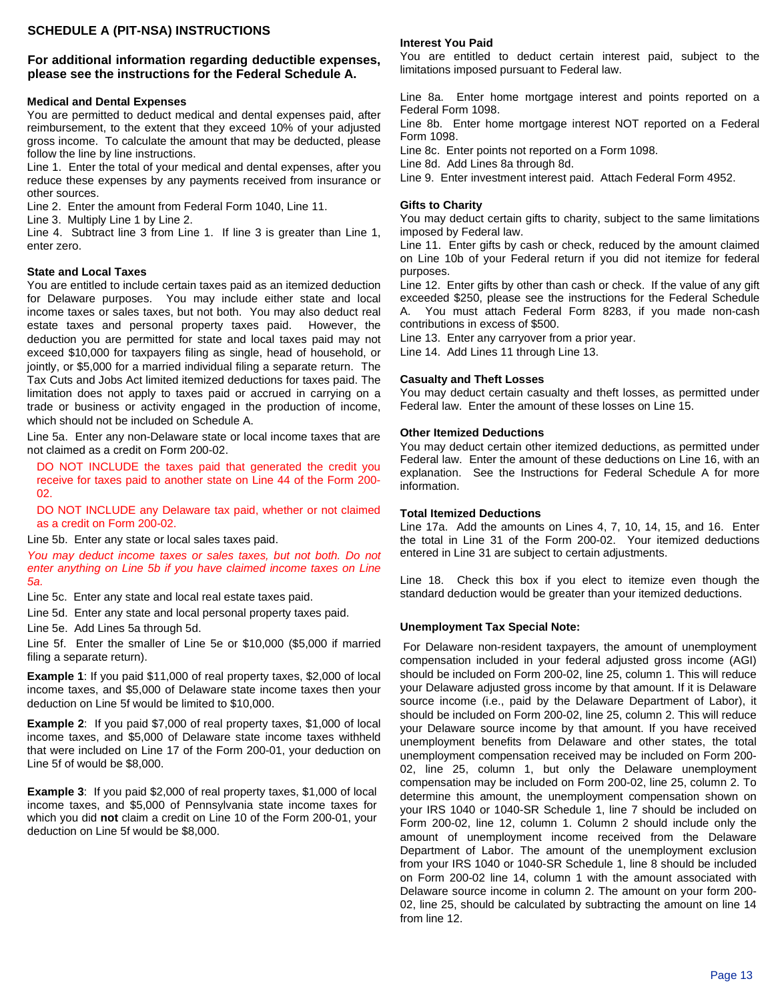## **SCHEDULE A (PIT-NSA) INSTRUCTIONS**

### **For additional information regarding deductible expenses, please see the instructions for the Federal Schedule A.**

### **Medical and Dental Expenses**

You are permitted to deduct medical and dental expenses paid, after reimbursement, to the extent that they exceed 10% of your adjusted gross income. To calculate the amount that may be deducted, please follow the line by line instructions.

Line 1. Enter the total of your medical and dental expenses, after you reduce these expenses by any payments received from insurance or other sources.

Line 2. Enter the amount from Federal Form 1040, Line 11.

Line 3. Multiply Line 1 by Line 2.

Line 4. Subtract line 3 from Line 1. If line 3 is greater than Line 1, enter zero.

### **State and Local Taxes**

You are entitled to include certain taxes paid as an itemized deduction for Delaware purposes. You may include either state and local income taxes or sales taxes, but not both. You may also deduct real estate taxes and personal property taxes paid. However, the deduction you are permitted for state and local taxes paid may not exceed \$10,000 for taxpayers filing as single, head of household, or jointly, or \$5,000 for a married individual filing a separate return. The Tax Cuts and Jobs Act limited itemized deductions for taxes paid. The limitation does not apply to taxes paid or accrued in carrying on a trade or business or activity engaged in the production of income, which should not be included on Schedule A.

Line 5a. Enter any non-Delaware state or local income taxes that are not claimed as a credit on Form 200-02.

DO NOT INCLUDE the taxes paid that generated the credit you receive for taxes paid to another state on Line 44 of the Form 200- 02.

DO NOT INCLUDE any Delaware tax paid, whether or not claimed as a credit on Form 200-02.

Line 5b. Enter any state or local sales taxes paid.

*You may deduct income taxes or sales taxes, but not both. Do not enter anything on Line 5b if you have claimed income taxes on Line 5a.*

Line 5c. Enter any state and local real estate taxes paid.

Line 5d. Enter any state and local personal property taxes paid.

Line 5e. Add Lines 5a through 5d.

Line 5f. Enter the smaller of Line 5e or \$10,000 (\$5,000 if married filing a separate return).

**Example 1**: If you paid \$11,000 of real property taxes, \$2,000 of local income taxes, and \$5,000 of Delaware state income taxes then your deduction on Line 5f would be limited to \$10,000.

**Example 2**: If you paid \$7,000 of real property taxes, \$1,000 of local income taxes, and \$5,000 of Delaware state income taxes withheld that were included on Line 17 of the Form 200-01, your deduction on Line 5f of would be \$8,000.

**Example 3**: If you paid \$2,000 of real property taxes, \$1,000 of local income taxes, and \$5,000 of Pennsylvania state income taxes for which you did **not** claim a credit on Line 10 of the Form 200-01, your deduction on Line 5f would be \$8,000.

### **Interest You Paid**

You are entitled to deduct certain interest paid, subject to the limitations imposed pursuant to Federal law.

Line 8a. Enter home mortgage interest and points reported on a Federal Form 1098.

Line 8b. Enter home mortgage interest NOT reported on a Federal Form 1098.

Line 8c. Enter points not reported on a Form 1098.

Line 8d. Add Lines 8a through 8d.

Line 9. Enter investment interest paid. Attach Federal Form 4952.

### **Gifts to Charity**

You may deduct certain gifts to charity, subject to the same limitations imposed by Federal law.

Line 11. Enter gifts by cash or check, reduced by the amount claimed on Line 10b of your Federal return if you did not itemize for federal purposes.

Line 12. Enter gifts by other than cash or check. If the value of any gift exceeded \$250, please see the instructions for the Federal Schedule A. You must attach Federal Form 8283, if you made non-cash contributions in excess of \$500.

Line 13. Enter any carryover from a prior year.

Line 14. Add Lines 11 through Line 13.

### **Casualty and Theft Losses**

You may deduct certain casualty and theft losses, as permitted under Federal law. Enter the amount of these losses on Line 15.

### **Other Itemized Deductions**

You may deduct certain other itemized deductions, as permitted under Federal law. Enter the amount of these deductions on Line 16, with an explanation. See the Instructions for Federal Schedule A for more information.

#### **Total Itemized Deductions**

Line 17a. Add the amounts on Lines 4, 7, 10, 14, 15, and 16. Enter the total in Line 31 of the Form 200-02. Your itemized deductions entered in Line 31 are subject to certain adjustments.

Line 18. Check this box if you elect to itemize even though the standard deduction would be greater than your itemized deductions.

### **Unemployment Tax Special Note:**

For Delaware non-resident taxpayers, the amount of unemployment compensation included in your federal adjusted gross income (AGI) should be included on Form 200-02, line 25, column 1. This will reduce your Delaware adjusted gross income by that amount. If it is Delaware source income (i.e., paid by the Delaware Department of Labor), it should be included on Form 200-02, line 25, column 2. This will reduce your Delaware source income by that amount. If you have received unemployment benefits from Delaware and other states, the total unemployment compensation received may be included on Form 200- 02, line 25, column 1, but only the Delaware unemployment compensation may be included on Form 200-02, line 25, column 2. To determine this amount, the unemployment compensation shown on your IRS 1040 or 1040-SR Schedule 1, line 7 should be included on Form 200-02, line 12, column 1. Column 2 should include only the amount of unemployment income received from the Delaware Department of Labor. The amount of the unemployment exclusion from your IRS 1040 or 1040-SR Schedule 1, line 8 should be included on Form 200-02 line 14, column 1 with the amount associated with Delaware source income in column 2. The amount on your form 200- 02, line 25, should be calculated by subtracting the amount on line 14 from line 12.